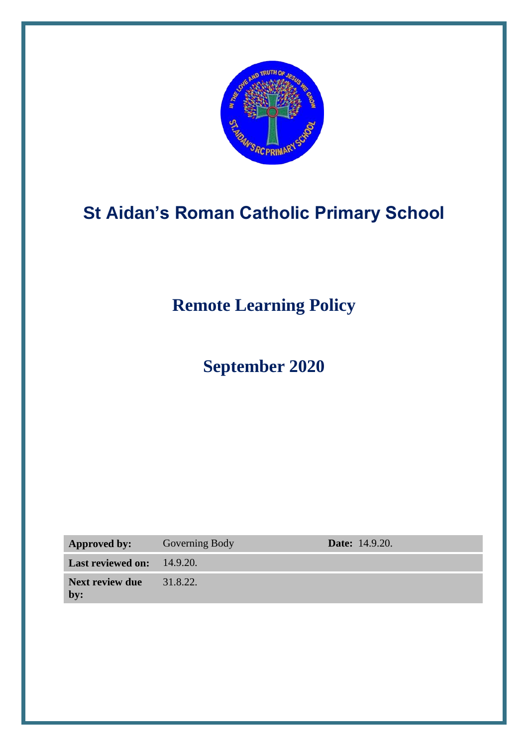

# **St Aidan's Roman Catholic Primary School**

**Remote Learning Policy** 

**September 2020**

| <b>Approved by:</b>                       | <b>Governing Body</b> | <b>Date:</b> 14.9.20. |
|-------------------------------------------|-----------------------|-----------------------|
| <b>Last reviewed on:</b> 14.9.20.         |                       |                       |
| <b>Next review due</b> $31.8.22$ .<br>by: |                       |                       |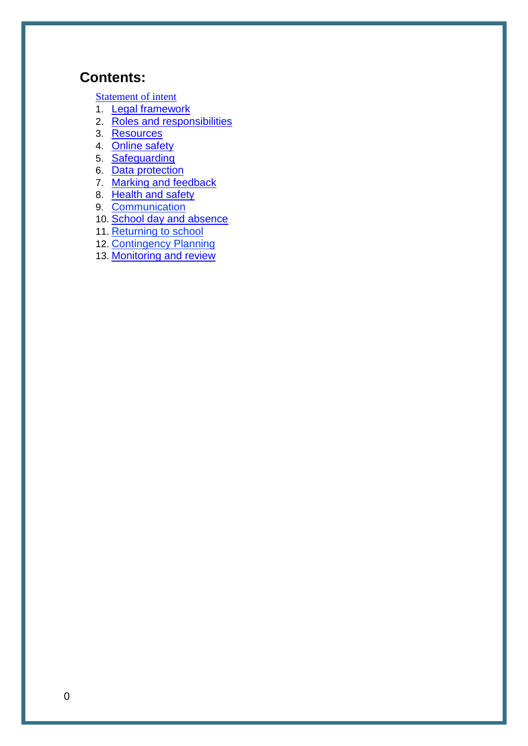# **Contents:**

**[Statement of intent](#page-2-0)** 

- 1. [Legal framework](#page-3-0)
- 2. [Roles and responsibilities](#page-3-1)
- 3. [Resources](#page-7-0)
- 4. [Online safety](#page-9-0)
- 5. [Safeguarding](#page-10-0)
- 6. [Data protection](#page-11-0)
- 7. [Marking and feedback](#page-11-1)
- 8. [Health and safety](#page-11-2)
- 9. Communication
- 10. [School day and absence](#page-11-2)
- 11. Returning to school
- 12. Contingency Planning
- 13. [Monitoring and review](#page-12-0)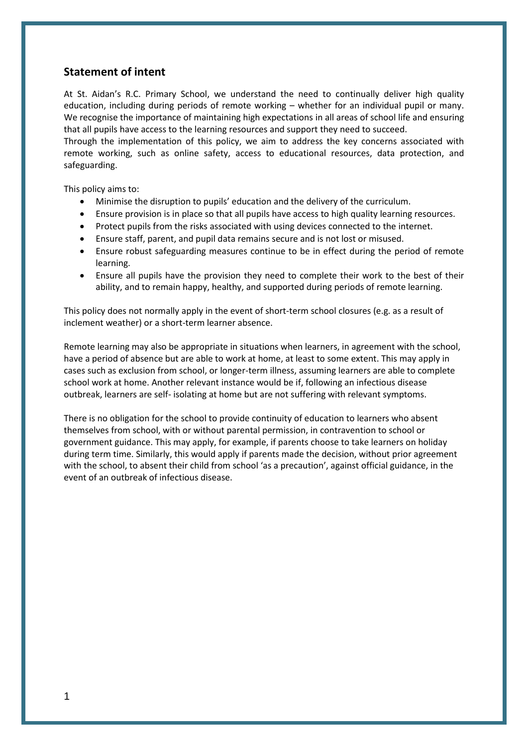### <span id="page-2-0"></span>**Statement of intent**

At St. Aidan's R.C. Primary School, we understand the need to continually deliver high quality education, including during periods of remote working – whether for an individual pupil or many. We recognise the importance of maintaining high expectations in all areas of school life and ensuring that all pupils have access to the learning resources and support they need to succeed.

Through the implementation of this policy, we aim to address the key concerns associated with remote working, such as online safety, access to educational resources, data protection, and safeguarding.

This policy aims to:

- Minimise the disruption to pupils' education and the delivery of the curriculum.
- Ensure provision is in place so that all pupils have access to high quality learning resources.
- Protect pupils from the risks associated with using devices connected to the internet.
- Ensure staff, parent, and pupil data remains secure and is not lost or misused.
- Ensure robust safeguarding measures continue to be in effect during the period of remote learning.
- Ensure all pupils have the provision they need to complete their work to the best of their ability, and to remain happy, healthy, and supported during periods of remote learning.

This policy does not normally apply in the event of short-term school closures (e.g. as a result of inclement weather) or a short-term learner absence.

Remote learning may also be appropriate in situations when learners, in agreement with the school, have a period of absence but are able to work at home, at least to some extent. This may apply in cases such as exclusion from school, or longer-term illness, assuming learners are able to complete school work at home. Another relevant instance would be if, following an infectious disease outbreak, learners are self- isolating at home but are not suffering with relevant symptoms.

There is no obligation for the school to provide continuity of education to learners who absent themselves from school, with or without parental permission, in contravention to school or government guidance. This may apply, for example, if parents choose to take learners on holiday during term time. Similarly, this would apply if parents made the decision, without prior agreement with the school, to absent their child from school 'as a precaution', against official guidance, in the event of an outbreak of infectious disease.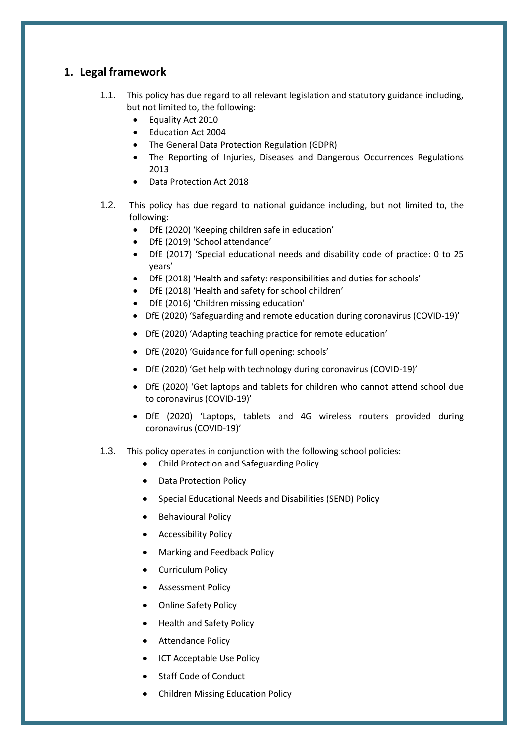### <span id="page-3-0"></span>**1. Legal framework**

- 1.1. This policy has due regard to all relevant legislation and statutory guidance including, but not limited to, the following:
	- Equality Act 2010
	- Education Act 2004
	- The General Data Protection Regulation (GDPR)
	- The Reporting of Injuries, Diseases and Dangerous Occurrences Regulations 2013
	- Data Protection Act 2018
- 1.2. This policy has due regard to national guidance including, but not limited to, the following:
	- DfE (2020) 'Keeping children safe in education'
	- DfE (2019) 'School attendance'
	- DfE (2017) 'Special educational needs and disability code of practice: 0 to 25 years'
	- DfE (2018) 'Health and safety: responsibilities and duties for schools'
	- DfE (2018) 'Health and safety for school children'
	- DfE (2016) 'Children missing education'
	- DfE (2020) 'Safeguarding and remote education during coronavirus (COVID-19)'
	- DfE (2020) 'Adapting teaching practice for remote education'
	- DfE (2020) 'Guidance for full opening: schools'
	- DfE (2020) 'Get help with technology during coronavirus (COVID-19)'
	- DfE (2020) 'Get laptops and tablets for children who cannot attend school due to coronavirus (COVID-19)'
	- DfE (2020) 'Laptops, tablets and 4G wireless routers provided during coronavirus (COVID-19)'
- <span id="page-3-1"></span>1.3. This policy operates in conjunction with the following school policies:
	- Child Protection and Safeguarding Policy
	- Data Protection Policy
	- Special Educational Needs and Disabilities (SEND) Policy
	- Behavioural Policy
	- Accessibility Policy
	- Marking and Feedback Policy
	- Curriculum Policy
	- Assessment Policy
	- Online Safety Policy
	- Health and Safety Policy
	- **•** Attendance Policy
	- ICT Acceptable Use Policy
	- Staff Code of Conduct
	- Children Missing Education Policy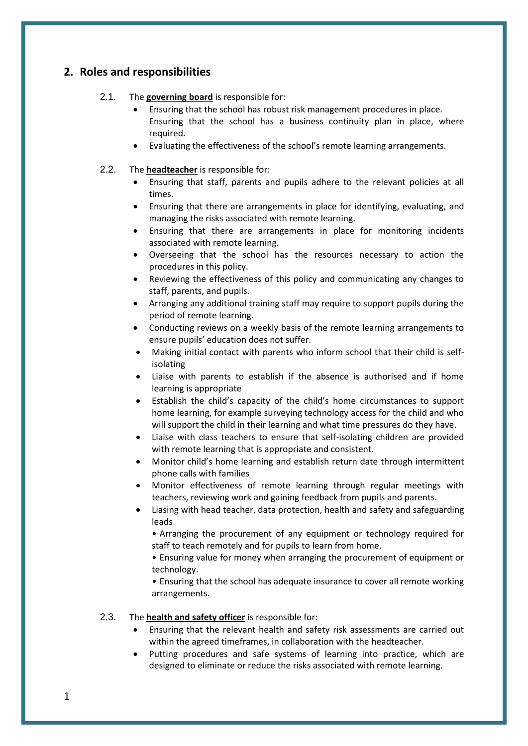### **2. Roles and responsibilities**

#### 2.1. The **governing board** is responsible for:

- Ensuring that the school has robust risk management procedures in place. Ensuring that the school has a business continuity plan in place, where required.
- Evaluating the effectiveness of the school's remote learning arrangements.

#### 2.2. The **headteacher** is responsible for:

- Ensuring that staff, parents and pupils adhere to the relevant policies at all times.
- Ensuring that there are arrangements in place for identifying, evaluating, and managing the risks associated with remote learning.
- Ensuring that there are arrangements in place for monitoring incidents associated with remote learning.
- Overseeing that the school has the resources necessary to action the procedures in this policy.
- Reviewing the effectiveness of this policy and communicating any changes to staff, parents, and pupils.
- Arranging any additional training staff may require to support pupils during the period of remote learning.
- Conducting reviews on a weekly basis of the remote learning arrangements to ensure pupils' education does not suffer.
- Making initial contact with parents who inform school that their child is selfisolating
- Liaise with parents to establish if the absence is authorised and if home learning is appropriate
- Establish the child's capacity of the child's home circumstances to support home learning, for example surveying technology access for the child and who will support the child in their learning and what time pressures do they have.
- Liaise with class teachers to ensure that self-isolating children are provided with remote learning that is appropriate and consistent.
- Monitor child's home learning and establish return date through intermittent phone calls with families
- Monitor effectiveness of remote learning through regular meetings with teachers, reviewing work and gaining feedback from pupils and parents.
- Liasing with head teacher, data protection, health and safety and safeguarding leads

• Arranging the procurement of any equipment or technology required for staff to teach remotely and for pupils to learn from home.

• Ensuring value for money when arranging the procurement of equipment or technology.

• Ensuring that the school has adequate insurance to cover all remote working arrangements.

#### 2.3. The **health and safety officer** is responsible for:

- Ensuring that the relevant health and safety risk assessments are carried out within the agreed timeframes, in collaboration with the headteacher.
- Putting procedures and safe systems of learning into practice, which are designed to eliminate or reduce the risks associated with remote learning.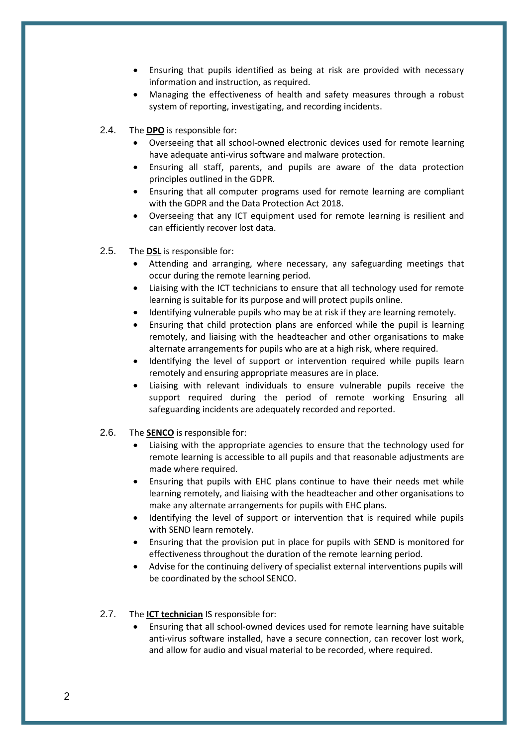- Ensuring that pupils identified as being at risk are provided with necessary information and instruction, as required.
- Managing the effectiveness of health and safety measures through a robust system of reporting, investigating, and recording incidents.
- 2.4. The **DPO** is responsible for:
	- Overseeing that all school-owned electronic devices used for remote learning have adequate anti-virus software and malware protection.
	- Ensuring all staff, parents, and pupils are aware of the data protection principles outlined in the GDPR.
	- Ensuring that all computer programs used for remote learning are compliant with the GDPR and the Data Protection Act 2018.
	- Overseeing that any ICT equipment used for remote learning is resilient and can efficiently recover lost data.
- 2.5. The **DSL** is responsible for:
	- Attending and arranging, where necessary, any safeguarding meetings that occur during the remote learning period.
	- Liaising with the ICT technicians to ensure that all technology used for remote learning is suitable for its purpose and will protect pupils online.
	- Identifying vulnerable pupils who may be at risk if they are learning remotely.
	- Ensuring that child protection plans are enforced while the pupil is learning remotely, and liaising with the headteacher and other organisations to make alternate arrangements for pupils who are at a high risk, where required.
	- Identifying the level of support or intervention required while pupils learn remotely and ensuring appropriate measures are in place.
	- Liaising with relevant individuals to ensure vulnerable pupils receive the support required during the period of remote working Ensuring all safeguarding incidents are adequately recorded and reported.
- 2.6. The **SENCO** is responsible for:
	- Liaising with the appropriate agencies to ensure that the technology used for remote learning is accessible to all pupils and that reasonable adjustments are made where required.
	- Ensuring that pupils with EHC plans continue to have their needs met while learning remotely, and liaising with the headteacher and other organisations to make any alternate arrangements for pupils with EHC plans.
	- Identifying the level of support or intervention that is required while pupils with SEND learn remotely.
	- Ensuring that the provision put in place for pupils with SEND is monitored for effectiveness throughout the duration of the remote learning period.
	- Advise for the continuing delivery of specialist external interventions pupils will be coordinated by the school SENCO.
- 2.7. The **ICT technician** IS responsible for:
	- Ensuring that all school-owned devices used for remote learning have suitable anti-virus software installed, have a secure connection, can recover lost work, and allow for audio and visual material to be recorded, where required.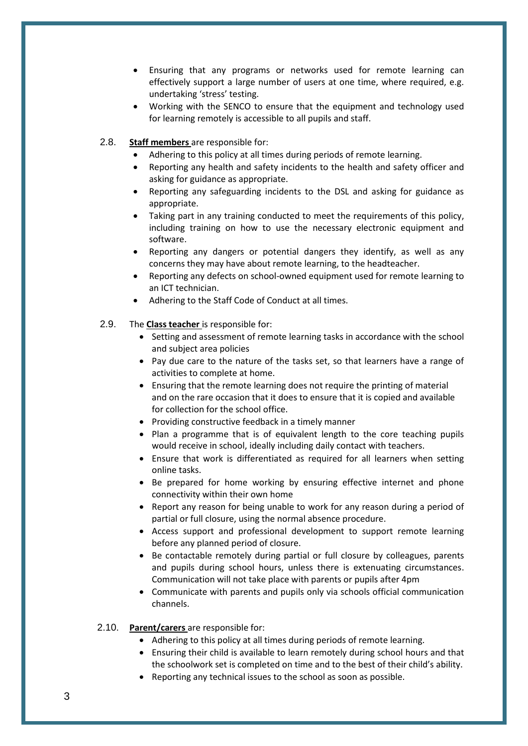- Ensuring that any programs or networks used for remote learning can effectively support a large number of users at one time, where required, e.g. undertaking 'stress' testing.
- Working with the SENCO to ensure that the equipment and technology used for learning remotely is accessible to all pupils and staff.

#### 2.8. **Staff members** are responsible for:

- Adhering to this policy at all times during periods of remote learning.
- Reporting any health and safety incidents to the health and safety officer and asking for guidance as appropriate.
- Reporting any safeguarding incidents to the DSL and asking for guidance as appropriate.
- Taking part in any training conducted to meet the requirements of this policy, including training on how to use the necessary electronic equipment and software.
- Reporting any dangers or potential dangers they identify, as well as any concerns they may have about remote learning, to the headteacher.
- Reporting any defects on school-owned equipment used for remote learning to an ICT technician.
- Adhering to the Staff Code of Conduct at all times.
- 2.9. The **Class teacher** is responsible for:
	- Setting and assessment of remote learning tasks in accordance with the school and subject area policies
	- Pay due care to the nature of the tasks set, so that learners have a range of activities to complete at home.
	- Ensuring that the remote learning does not require the printing of material and on the rare occasion that it does to ensure that it is copied and available for collection for the school office.
	- Providing constructive feedback in a timely manner
	- Plan a programme that is of equivalent length to the core teaching pupils would receive in school, ideally including daily contact with teachers.
	- Ensure that work is differentiated as required for all learners when setting online tasks.
	- Be prepared for home working by ensuring effective internet and phone connectivity within their own home
	- Report any reason for being unable to work for any reason during a period of partial or full closure, using the normal absence procedure.
	- Access support and professional development to support remote learning before any planned period of closure.
	- Be contactable remotely during partial or full closure by colleagues, parents and pupils during school hours, unless there is extenuating circumstances. Communication will not take place with parents or pupils after 4pm
	- Communicate with parents and pupils only via schools official communication channels.

#### 2.10. **Parent/carers** are responsible for:

- Adhering to this policy at all times during periods of remote learning.
- Ensuring their child is available to learn remotely during school hours and that the schoolwork set is completed on time and to the best of their child's ability.
- Reporting any technical issues to the school as soon as possible.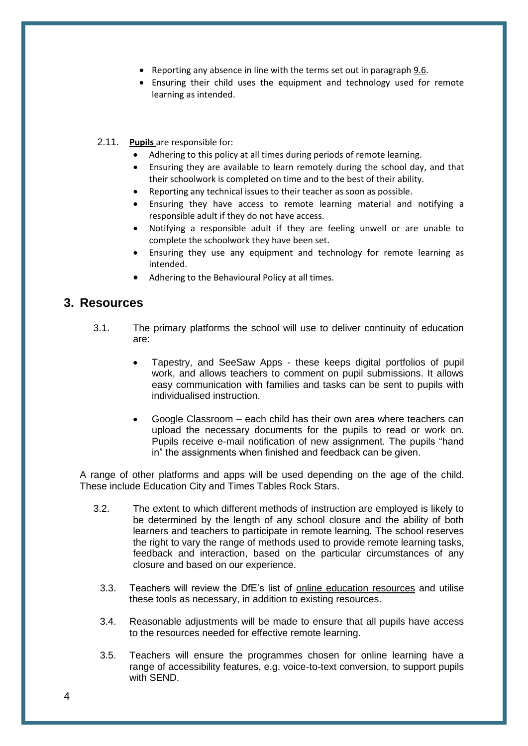- Reporting any absence in line with the terms set out in paragraph [9.6.](#page-11-3)
- Ensuring their child uses the equipment and technology used for remote learning as intended.
- 2.11. **Pupils** are responsible for:
	- Adhering to this policy at all times during periods of remote learning.
	- Ensuring they are available to learn remotely during the school day, and that their schoolwork is completed on time and to the best of their ability.
	- Reporting any technical issues to their teacher as soon as possible.
	- Ensuring they have access to remote learning material and notifying a responsible adult if they do not have access.
	- Notifying a responsible adult if they are feeling unwell or are unable to complete the schoolwork they have been set.
	- Ensuring they use any equipment and technology for remote learning as intended.
	- Adhering to the Behavioural Policy at all times.

### <span id="page-7-0"></span>**3. Resources**

- 3.1. The primary platforms the school will use to deliver continuity of education are:
	- Tapestry, and SeeSaw Apps these keeps digital portfolios of pupil work, and allows teachers to comment on pupil submissions. It allows easy communication with families and tasks can be sent to pupils with individualised instruction.
	- Google Classroom each child has their own area where teachers can upload the necessary documents for the pupils to read or work on. Pupils receive e-mail notification of new assignment. The pupils "hand in" the assignments when finished and feedback can be given.

A range of other platforms and apps will be used depending on the age of the child. These include Education City and Times Tables Rock Stars.

- 3.2. The extent to which different methods of instruction are employed is likely to be determined by the length of any school closure and the ability of both learners and teachers to participate in remote learning. The school reserves the right to vary the range of methods used to provide remote learning tasks, feedback and interaction, based on the particular circumstances of any closure and based on our experience.
	- 3.3. Teachers will review the DfE's list of [online education resources](https://www.gov.uk/government/publications/coronavirus-covid-19-online-education-resources) and utilise these tools as necessary, in addition to existing resources.
	- 3.4. Reasonable adjustments will be made to ensure that all pupils have access to the resources needed for effective remote learning.
	- 3.5. Teachers will ensure the programmes chosen for online learning have a range of accessibility features, e.g. voice-to-text conversion, to support pupils with SEND.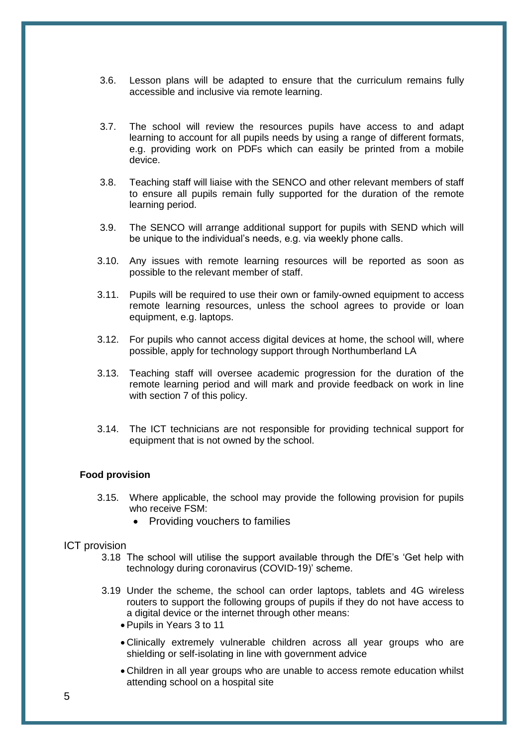- 3.6. Lesson plans will be adapted to ensure that the curriculum remains fully accessible and inclusive via remote learning.
- 3.7. The school will review the resources pupils have access to and adapt learning to account for all pupils needs by using a range of different formats, e.g. providing work on PDFs which can easily be printed from a mobile device.
- 3.8. Teaching staff will liaise with the SENCO and other relevant members of staff to ensure all pupils remain fully supported for the duration of the remote learning period.
- 3.9. The SENCO will arrange additional support for pupils with SEND which will be unique to the individual's needs, e.g. via weekly phone calls.
- 3.10. Any issues with remote learning resources will be reported as soon as possible to the relevant member of staff.
- 3.11. Pupils will be required to use their own or family-owned equipment to access remote learning resources, unless the school agrees to provide or loan equipment, e.g. laptops.
- 3.12. For pupils who cannot access digital devices at home, the school will, where possible, apply for technology support through Northumberland LA
- 3.13. Teaching staff will oversee academic progression for the duration of the remote learning period and will mark and provide feedback on work in line with [section 7](#page-11-1) of this policy.
- 3.14. The ICT technicians are not responsible for providing technical support for equipment that is not owned by the school.

#### **Food provision**

- 3.15. Where applicable, the school may provide the following provision for pupils who receive FSM:
	- Providing vouchers to families

#### ICT provision

- 3.18 The school will utilise the support available through the DfE's 'Get help with technology during coronavirus (COVID-19)' scheme.
- 3.19 Under the scheme, the school can order laptops, tablets and 4G wireless routers to support the following groups of pupils if they do not have access to a digital device or the internet through other means:
	- Pupils in Years 3 to 11
	- Clinically extremely vulnerable children across all year groups who are shielding or self-isolating in line with government advice
	- Children in all year groups who are unable to access remote education whilst attending school on a hospital site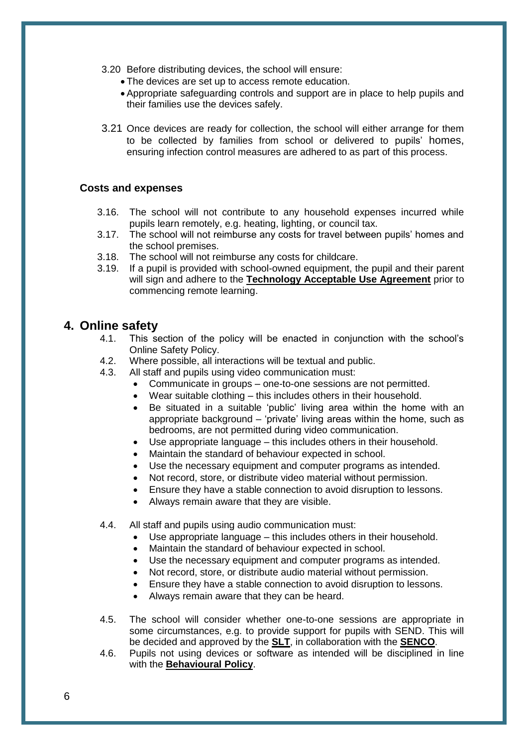- 3.20 Before distributing devices, the school will ensure:
	- The devices are set up to access remote education.
	- Appropriate safeguarding controls and support are in place to help pupils and their families use the devices safely.
- 3.21 Once devices are ready for collection, the school will either arrange for them to be collected by families from school or delivered to pupils' homes, ensuring infection control measures are adhered to as part of this process.

#### **Costs and expenses**

- 3.16. The school will not contribute to any household expenses incurred while pupils learn remotely, e.g. heating, lighting, or council tax.
- 3.17. The school will not reimburse any costs for travel between pupils' homes and the school premises.
- 3.18. The school will not reimburse any costs for childcare.
- 3.19. If a pupil is provided with school-owned equipment, the pupil and their parent will sign and adhere to the **Technology Acceptable Use Agreement** prior to commencing remote learning.

### <span id="page-9-0"></span>**4. Online safety**

- 4.1. This section of the policy will be enacted in conjunction with the school's Online Safety Policy.
- 4.2. Where possible, all interactions will be textual and public.
- 4.3. All staff and pupils using video communication must:
	- Communicate in groups one-to-one sessions are not permitted.
	- Wear suitable clothing this includes others in their household.
	- Be situated in a suitable 'public' living area within the home with an appropriate background – 'private' living areas within the home, such as bedrooms, are not permitted during video communication.
	- Use appropriate language this includes others in their household.
	- Maintain the standard of behaviour expected in school.
	- Use the necessary equipment and computer programs as intended.
	- Not record, store, or distribute video material without permission.
	- Ensure they have a stable connection to avoid disruption to lessons.
	- Always remain aware that they are visible.
- 4.4. All staff and pupils using audio communication must:
	- Use appropriate language this includes others in their household.
	- Maintain the standard of behaviour expected in school.
	- Use the necessary equipment and computer programs as intended.
	- Not record, store, or distribute audio material without permission.
	- Ensure they have a stable connection to avoid disruption to lessons.
	- Always remain aware that they can be heard.
- 4.5. The school will consider whether one-to-one sessions are appropriate in some circumstances, e.g. to provide support for pupils with SEND. This will be decided and approved by the **SLT**, in collaboration with the **SENCO**.
- 4.6. Pupils not using devices or software as intended will be disciplined in line with the **Behavioural Policy**.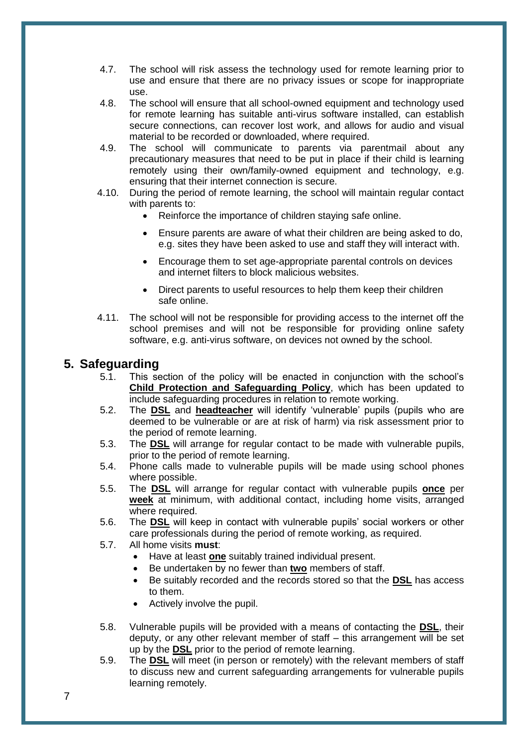- 4.7. The school will risk assess the technology used for remote learning prior to use and ensure that there are no privacy issues or scope for inappropriate use.
- 4.8. The school will ensure that all school-owned equipment and technology used for remote learning has suitable anti-virus software installed, can establish secure connections, can recover lost work, and allows for audio and visual material to be recorded or downloaded, where required.
- 4.9. The school will communicate to parents via parentmail about any precautionary measures that need to be put in place if their child is learning remotely using their own/family-owned equipment and technology, e.g. ensuring that their internet connection is secure.
- 4.10. During the period of remote learning, the school will maintain regular contact with parents to:
	- Reinforce the importance of children staying safe online.
	- Ensure parents are aware of what their children are being asked to do, e.g. sites they have been asked to use and staff they will interact with.
	- Encourage them to set age-appropriate parental controls on devices and internet filters to block malicious websites.
	- Direct parents to useful resources to help them keep their children safe online.
- 4.11. The school will not be responsible for providing access to the internet off the school premises and will not be responsible for providing online safety software, e.g. anti-virus software, on devices not owned by the school.

### <span id="page-10-0"></span>**5. Safeguarding**

- 5.1. This section of the policy will be enacted in conjunction with the school's **Child Protection and Safeguarding Policy**, which has been updated to include safeguarding procedures in relation to remote working.
- 5.2. The **DSL** and **headteacher** will identify 'vulnerable' pupils (pupils who are deemed to be vulnerable or are at risk of harm) via risk assessment prior to the period of remote learning.
- 5.3. The **DSL** will arrange for regular contact to be made with vulnerable pupils, prior to the period of remote learning.
- 5.4. Phone calls made to vulnerable pupils will be made using school phones where possible.
- 5.5. The **DSL** will arrange for regular contact with vulnerable pupils **once** per **week** at minimum, with additional contact, including home visits, arranged where required.
- 5.6. The **DSL** will keep in contact with vulnerable pupils' social workers or other care professionals during the period of remote working, as required.
- 5.7. All home visits **must**:
	- Have at least **one** suitably trained individual present.
	- Be undertaken by no fewer than **two** members of staff.
	- Be suitably recorded and the records stored so that the **DSL** has access to them.
	- Actively involve the pupil.
- 5.8. Vulnerable pupils will be provided with a means of contacting the **DSL**, their deputy, or any other relevant member of staff – this arrangement will be set up by the **DSL** prior to the period of remote learning.
- 5.9. The **DSL** will meet (in person or remotely) with the relevant members of staff to discuss new and current safeguarding arrangements for vulnerable pupils learning remotely.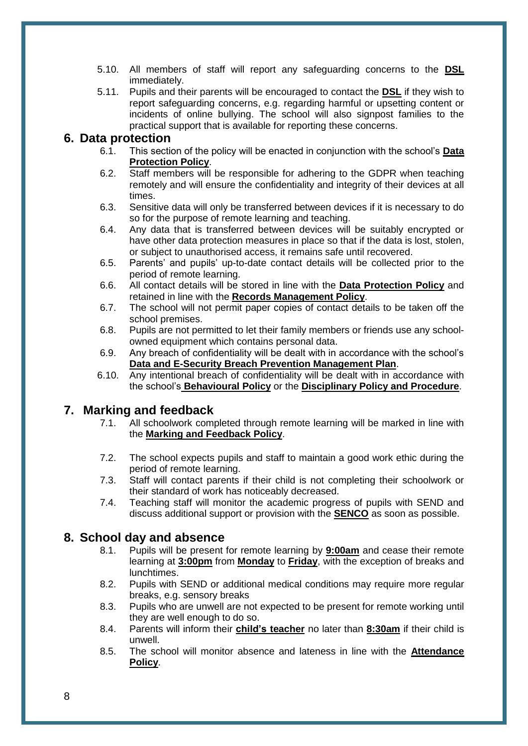- 5.10. All members of staff will report any safeguarding concerns to the **DSL** immediately.
- 5.11. Pupils and their parents will be encouraged to contact the **DSL** if they wish to report safeguarding concerns, e.g. regarding harmful or upsetting content or incidents of online bullying. The school will also signpost families to the practical support that is available for reporting these concerns.

### <span id="page-11-0"></span>**6. Data protection**

- 6.1. This section of the policy will be enacted in conjunction with the school's **Data Protection Policy**.
- 6.2. Staff members will be responsible for adhering to the GDPR when teaching remotely and will ensure the confidentiality and integrity of their devices at all times.
- 6.3. Sensitive data will only be transferred between devices if it is necessary to do so for the purpose of remote learning and teaching.
- 6.4. Any data that is transferred between devices will be suitably encrypted or have other data protection measures in place so that if the data is lost, stolen, or subject to unauthorised access, it remains safe until recovered.
- 6.5. Parents' and pupils' up-to-date contact details will be collected prior to the period of remote learning.
- 6.6. All contact details will be stored in line with the **Data Protection Policy** and retained in line with the **Records Management Policy**.
- 6.7. The school will not permit paper copies of contact details to be taken off the school premises.
- 6.8. Pupils are not permitted to let their family members or friends use any schoolowned equipment which contains personal data.
- 6.9. Any breach of confidentiality will be dealt with in accordance with the school's **Data and E-Security Breach Prevention Management Plan**.
- 6.10. Any intentional breach of confidentiality will be dealt with in accordance with the school's **Behavioural Policy** or the **Disciplinary Policy and Procedure**.

### <span id="page-11-1"></span>**7. Marking and feedback**

- 7.1. All schoolwork completed through remote learning will be marked in line with the **Marking and Feedback Policy**.
- 7.2. The school expects pupils and staff to maintain a good work ethic during the period of remote learning.
- 7.3. Staff will contact parents if their child is not completing their schoolwork or their standard of work has noticeably decreased.
- 7.4. Teaching staff will monitor the academic progress of pupils with SEND and discuss additional support or provision with the **SENCO** as soon as possible.

### <span id="page-11-2"></span>**8. School day and absence**

- 8.1. Pupils will be present for remote learning by **9:00am** and cease their remote learning at **3:00pm** from **Monday** to **Friday**, with the exception of breaks and lunchtimes.
- 8.2. Pupils with SEND or additional medical conditions may require more regular breaks, e.g. sensory breaks
- 8.3. Pupils who are unwell are not expected to be present for remote working until they are well enough to do so.
- <span id="page-11-3"></span>8.4. Parents will inform their **child's teacher** no later than **8:30am** if their child is unwell.
- 8.5. The school will monitor absence and lateness in line with the **Attendance Policy**.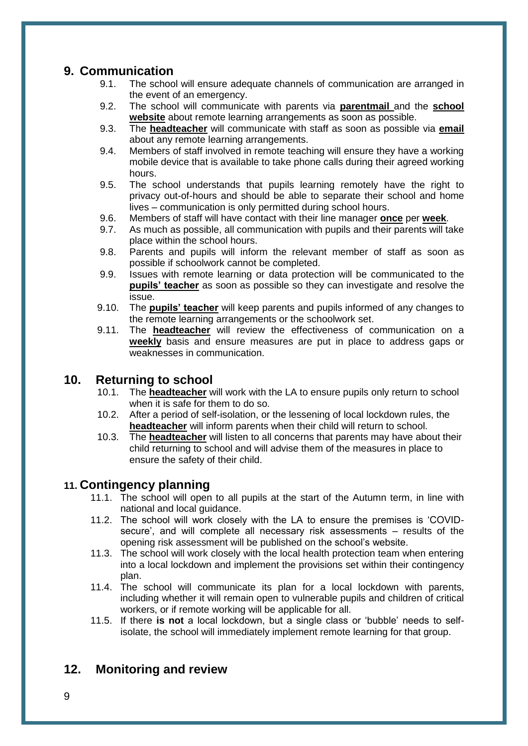# **9. Communication**

- 9.1. The school will ensure adequate channels of communication are arranged in the event of an emergency.
- 9.2. The school will communicate with parents via **parentmail** and the **school website** about remote learning arrangements as soon as possible.
- 9.3. The **headteacher** will communicate with staff as soon as possible via **email**  about any remote learning arrangements.
- 9.4. Members of staff involved in remote teaching will ensure they have a working mobile device that is available to take phone calls during their agreed working hours.
- 9.5. The school understands that pupils learning remotely have the right to privacy out-of-hours and should be able to separate their school and home lives – communication is only permitted during school hours.
- 9.6. Members of staff will have contact with their line manager **once** per **week**.
- 9.7. As much as possible, all communication with pupils and their parents will take place within the school hours.
- 9.8. Parents and pupils will inform the relevant member of staff as soon as possible if schoolwork cannot be completed.
- 9.9. Issues with remote learning or data protection will be communicated to the **pupils' teacher** as soon as possible so they can investigate and resolve the issue.
- 9.10. The **pupils' teacher** will keep parents and pupils informed of any changes to the remote learning arrangements or the schoolwork set.
- 9.11. The **headteacher** will review the effectiveness of communication on a **weekly** basis and ensure measures are put in place to address gaps or weaknesses in communication.

## <span id="page-12-0"></span>**10. Returning to school**

- 10.1. The **headteacher** will work with the LA to ensure pupils only return to school when it is safe for them to do so.
- 10.2. After a period of self-isolation, or the lessening of local lockdown rules, the **headteacher** will inform parents when their child will return to school.
- 10.3. The **headteacher** will listen to all concerns that parents may have about their child returning to school and will advise them of the measures in place to ensure the safety of their child.

### **11. Contingency planning**

- 11.1. The school will open to all pupils at the start of the Autumn term, in line with national and local guidance.
- 11.2. The school will work closely with the LA to ensure the premises is 'COVIDsecure', and will complete all necessary risk assessments – results of the opening risk assessment will be published on the school's website.
- 11.3. The school will work closely with the local health protection team when entering into a local lockdown and implement the provisions set within their contingency plan.
- 11.4. The school will communicate its plan for a local lockdown with parents, including whether it will remain open to vulnerable pupils and children of critical workers, or if remote working will be applicable for all.
- 11.5. If there **is not** a local lockdown, but a single class or 'bubble' needs to selfisolate, the school will immediately implement remote learning for that group.

# **12. Monitoring and review**